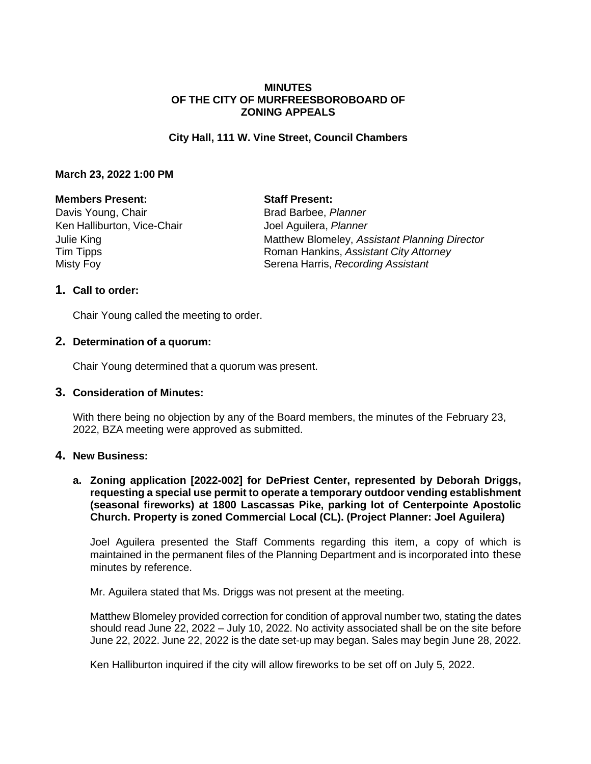#### **MINUTES OF THE CITY OF MURFREESBOROBOARD OF ZONING APPEALS**

#### **City Hall, 111 W. Vine Street, Council Chambers**

#### **March 23, 2022 1:00 PM**

#### **Members Present: Staff Present:**

Davis Young, Chair **Brad Barbee**, *Planner* Ken Halliburton, Vice-Chair **Internation** Joel Aguilera, *Planner* 

Julie King Matthew Blomeley, *Assistant Planning Director* Tim Tipps Roman Hankins, *Assistant City Attorney* Misty Foy Serena Harris, *Recording Assistant*

#### **1. Call to order:**

Chair Young called the meeting to order.

#### **2. Determination of a quorum:**

Chair Young determined that a quorum was present.

#### **3. Consideration of Minutes:**

With there being no objection by any of the Board members, the minutes of the February 23, 2022, BZA meeting were approved as submitted.

#### **4. New Business:**

#### **a. Zoning application [2022-002] for DePriest Center, represented by Deborah Driggs, requesting a special use permit to operate a temporary outdoor vending establishment (seasonal fireworks) at 1800 Lascassas Pike, parking lot of Centerpointe Apostolic Church. Property is zoned Commercial Local (CL). (Project Planner: Joel Aguilera)**

Joel Aguilera presented the Staff Comments regarding this item, a copy of which is maintained in the permanent files of the Planning Department and is incorporated into these minutes by reference.

Mr. Aguilera stated that Ms. Driggs was not present at the meeting.

Matthew Blomeley provided correction for condition of approval number two, stating the dates should read June 22, 2022 – July 10, 2022. No activity associated shall be on the site before June 22, 2022. June 22, 2022 is the date set-up may began. Sales may begin June 28, 2022.

Ken Halliburton inquired if the city will allow fireworks to be set off on July 5, 2022.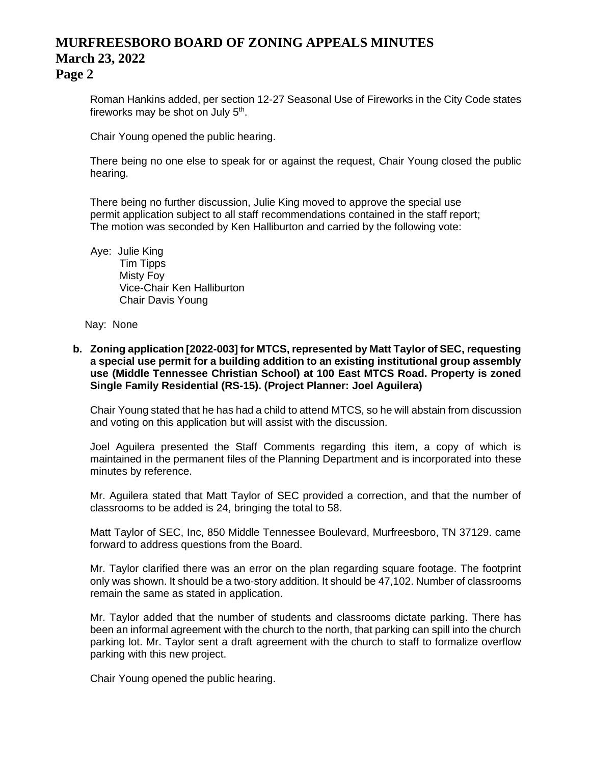# **MURFREESBORO BOARD OF ZONING APPEALS MINUTES March 23, 2022**

**Page 2**

Roman Hankins added, per section 12-27 Seasonal Use of Fireworks in the City Code states fireworks may be shot on July 5<sup>th</sup>.

Chair Young opened the public hearing.

There being no one else to speak for or against the request, Chair Young closed the public hearing.

There being no further discussion, Julie King moved to approve the special use permit application subject to all staff recommendations contained in the staff report; The motion was seconded by Ken Halliburton and carried by the following vote:

Aye: Julie King Tim Tipps Misty Foy Vice-Chair Ken Halliburton Chair Davis Young

Nay: None

**b. Zoning application [2022-003] for MTCS, represented by Matt Taylor of SEC, requesting a special use permit for a building addition to an existing institutional group assembly use (Middle Tennessee Christian School) at 100 East MTCS Road. Property is zoned Single Family Residential (RS-15). (Project Planner: Joel Aguilera)**

Chair Young stated that he has had a child to attend MTCS, so he will abstain from discussion and voting on this application but will assist with the discussion.

Joel Aguilera presented the Staff Comments regarding this item, a copy of which is maintained in the permanent files of the Planning Department and is incorporated into these minutes by reference.

Mr. Aguilera stated that Matt Taylor of SEC provided a correction, and that the number of classrooms to be added is 24, bringing the total to 58.

Matt Taylor of SEC, Inc, 850 Middle Tennessee Boulevard, Murfreesboro, TN 37129. came forward to address questions from the Board.

Mr. Taylor clarified there was an error on the plan regarding square footage. The footprint only was shown. It should be a two-story addition. It should be 47,102. Number of classrooms remain the same as stated in application.

Mr. Taylor added that the number of students and classrooms dictate parking. There has been an informal agreement with the church to the north, that parking can spill into the church parking lot. Mr. Taylor sent a draft agreement with the church to staff to formalize overflow parking with this new project.

Chair Young opened the public hearing.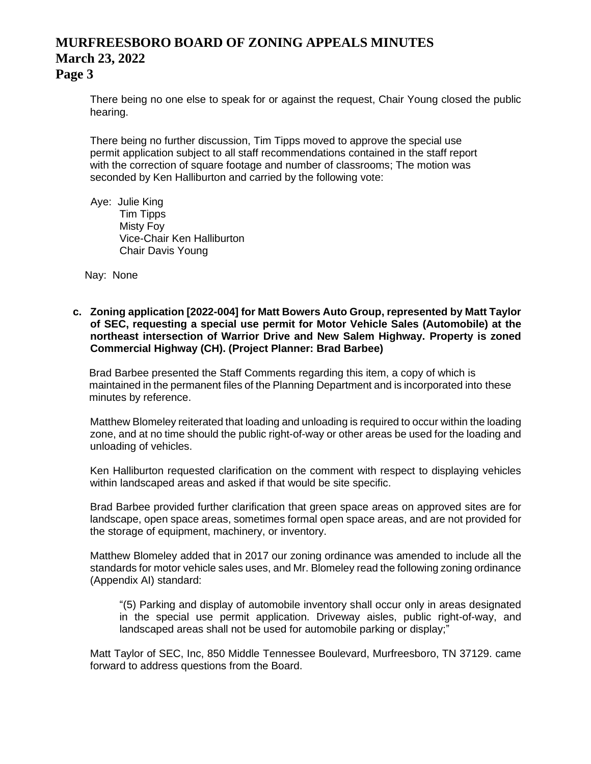## **MURFREESBORO BOARD OF ZONING APPEALS MINUTES March 23, 2022**

### **Page 3**

There being no one else to speak for or against the request, Chair Young closed the public hearing.

There being no further discussion, Tim Tipps moved to approve the special use permit application subject to all staff recommendations contained in the staff report with the correction of square footage and number of classrooms; The motion was seconded by Ken Halliburton and carried by the following vote:

Aye: Julie King Tim Tipps Misty Foy Vice-Chair Ken Halliburton Chair Davis Young

Nay: None

**c. Zoning application [2022-004] for Matt Bowers Auto Group, represented by Matt Taylor of SEC, requesting a special use permit for Motor Vehicle Sales (Automobile) at the northeast intersection of Warrior Drive and New Salem Highway. Property is zoned Commercial Highway (CH). (Project Planner: Brad Barbee)**

Brad Barbee presented the Staff Comments regarding this item, a copy of which is maintained in the permanent files of the Planning Department and is incorporated into these minutes by reference.

Matthew Blomeley reiterated that loading and unloading is required to occur within the loading zone, and at no time should the public right-of-way or other areas be used for the loading and unloading of vehicles.

Ken Halliburton requested clarification on the comment with respect to displaying vehicles within landscaped areas and asked if that would be site specific.

Brad Barbee provided further clarification that green space areas on approved sites are for landscape, open space areas, sometimes formal open space areas, and are not provided for the storage of equipment, machinery, or inventory.

Matthew Blomeley added that in 2017 our zoning ordinance was amended to include all the standards for motor vehicle sales uses, and Mr. Blomeley read the following zoning ordinance (Appendix AI) standard:

"(5) Parking and display of automobile inventory shall occur only in areas designated in the special use permit application. Driveway aisles, public right-of-way, and landscaped areas shall not be used for automobile parking or display;"

Matt Taylor of SEC, Inc, 850 Middle Tennessee Boulevard, Murfreesboro, TN 37129. came forward to address questions from the Board.